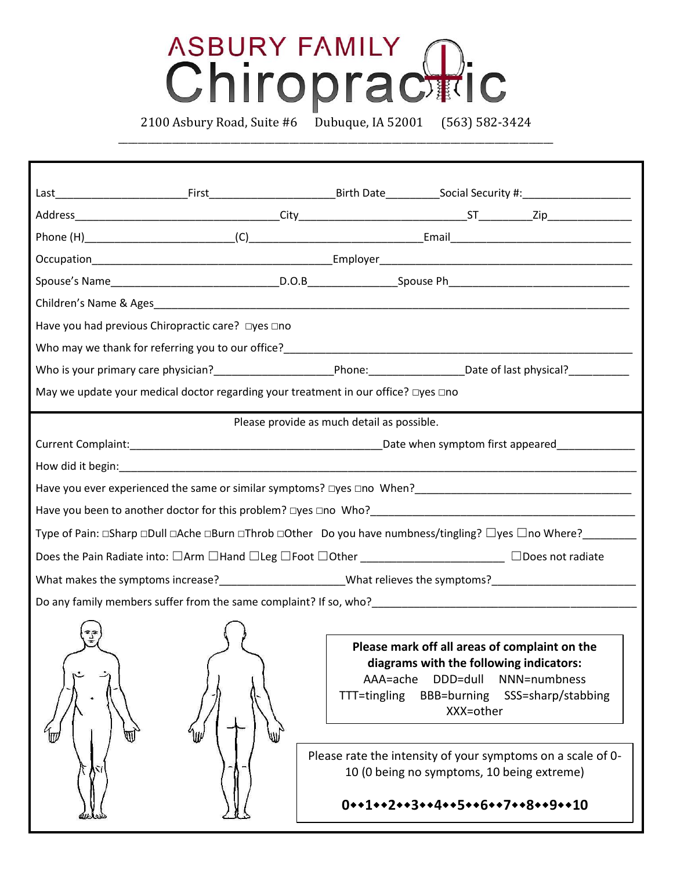## ASBURY FAMILY<br>Chiropractic

\_\_\_\_\_\_\_\_\_\_\_\_\_\_\_\_\_\_\_\_\_\_\_\_\_\_\_\_\_\_\_\_\_\_\_\_\_\_\_\_\_\_\_\_\_\_\_\_\_\_\_\_\_\_\_\_\_\_\_\_\_\_\_\_\_\_\_\_\_\_\_\_\_\_\_\_\_\_\_\_\_\_\_\_\_\_\_\_\_

2100 Asbury Road, Suite #6 Dubuque, IA 52001 (563) 582-3424

| Have you had previous Chiropractic care? □yes □no                                                                                                                                                      |                                            |                          |                                                                                                                                                                                                                           |                                                                                                   |  |
|--------------------------------------------------------------------------------------------------------------------------------------------------------------------------------------------------------|--------------------------------------------|--------------------------|---------------------------------------------------------------------------------------------------------------------------------------------------------------------------------------------------------------------------|---------------------------------------------------------------------------------------------------|--|
|                                                                                                                                                                                                        |                                            |                          |                                                                                                                                                                                                                           |                                                                                                   |  |
|                                                                                                                                                                                                        |                                            |                          |                                                                                                                                                                                                                           |                                                                                                   |  |
| May we update your medical doctor regarding your treatment in our office? □yes □no                                                                                                                     |                                            |                          |                                                                                                                                                                                                                           |                                                                                                   |  |
|                                                                                                                                                                                                        | Please provide as much detail as possible. |                          |                                                                                                                                                                                                                           |                                                                                                   |  |
|                                                                                                                                                                                                        |                                            |                          |                                                                                                                                                                                                                           |                                                                                                   |  |
|                                                                                                                                                                                                        |                                            |                          |                                                                                                                                                                                                                           |                                                                                                   |  |
| Have you ever experienced the same or similar symptoms? Dyes Dno When?<br>Moreon Men?<br>Moreon Company Diversion Company Diversion Diversion Diversion Diversion Diversion Diversion Diversion Divers |                                            |                          |                                                                                                                                                                                                                           |                                                                                                   |  |
|                                                                                                                                                                                                        |                                            |                          |                                                                                                                                                                                                                           |                                                                                                   |  |
| Type of Pain: □Sharp □Dull □Ache □Burn □Throb □Other   Do you have numbness/tingling? □yes □no Where?                                                                                                  |                                            |                          |                                                                                                                                                                                                                           |                                                                                                   |  |
| Does the Pain Radiate into: $\Box$ Arm $\Box$ Hand $\Box$ Leg $\Box$ Foot $\Box$ Other ___________________________ $\Box$ Does not radiate                                                             |                                            |                          |                                                                                                                                                                                                                           |                                                                                                   |  |
|                                                                                                                                                                                                        |                                            |                          |                                                                                                                                                                                                                           |                                                                                                   |  |
| Do any family members suffer from the same complaint? If so, who?                                                                                                                                      |                                            |                          |                                                                                                                                                                                                                           |                                                                                                   |  |
|                                                                                                                                                                                                        |                                            |                          |                                                                                                                                                                                                                           |                                                                                                   |  |
|                                                                                                                                                                                                        |                                            | AAA=ache<br>TTT=tingling | Please mark off all areas of complaint on the<br>diagrams with the following indicators:<br>DDD=dull<br><b>BBB=burning</b><br>XXX=other<br>10 (0 being no symptoms, 10 being extreme)<br>0++1++2++3++4++5++6++7++8++9++10 | NNN=numbness<br>SSS=sharp/stabbing<br>Please rate the intensity of your symptoms on a scale of 0- |  |